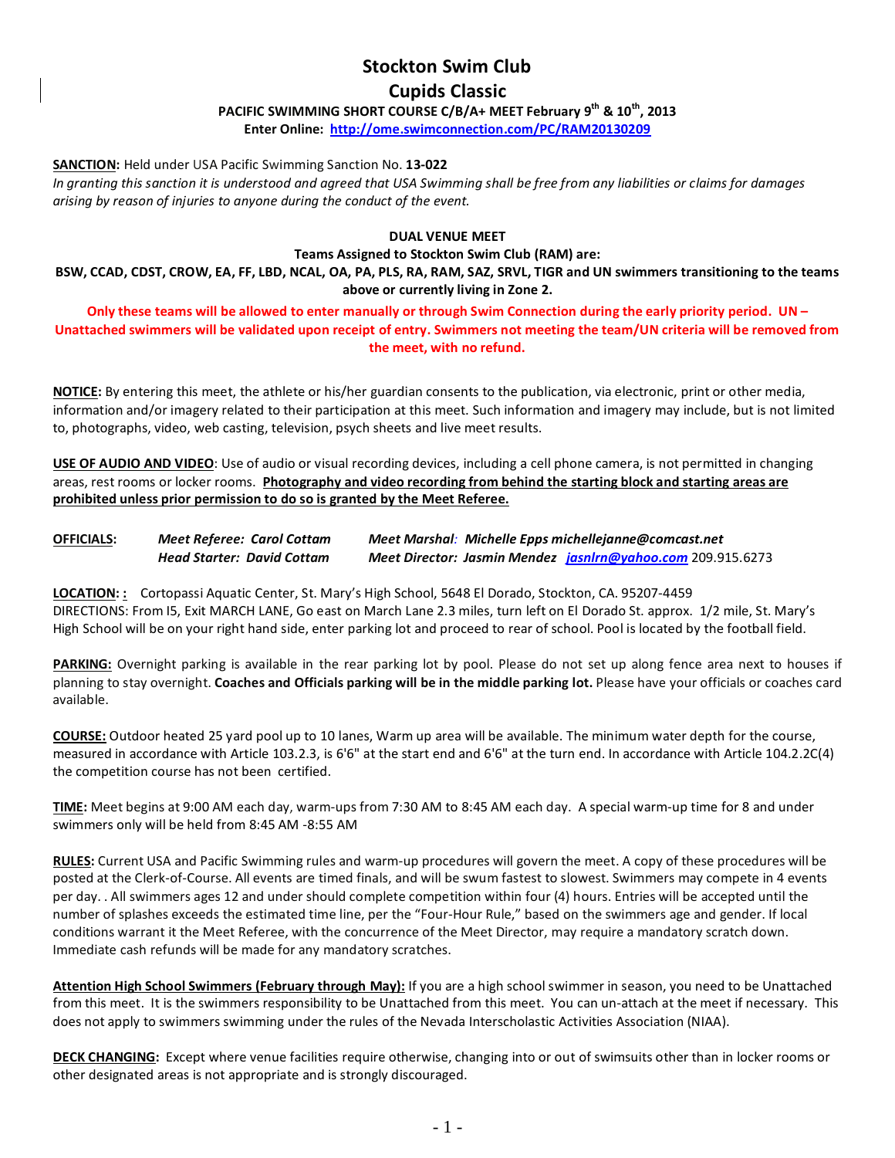# **Stockton Swim Club**

## **Cupids Classic**

**PACIFIC SWIMMING SHORT COURSE C/B/A+ MEET February 9th & 10th, 2013**

**Enter Online: [http://ome.swimconnection.com/PC/RAM20130](http://ome.swimconnection.com/PC/RAM2013)209**

#### **SANCTION:** Held under USA Pacific Swimming Sanction No. **13-022**

*In granting this sanction it is understood and agreed that USA Swimming shall be free from any liabilities or claims for damages arising by reason of injuries to anyone during the conduct of the event.*

### **DUAL VENUE MEET**

**Teams Assigned to Stockton Swim Club (RAM) are:**

**BSW, CCAD, CDST, CROW, EA, FF, LBD, NCAL, OA, PA, PLS, RA, RAM, SAZ, SRVL, TIGR and UN swimmers transitioning to the teams above or currently living in Zone 2.** 

**Only these teams will be allowed to enter manually or through Swim Connection during the early priority period. UN – Unattached swimmers will be validated upon receipt of entry. Swimmers not meeting the team/UN criteria will be removed from the meet, with no refund.**

**NOTICE:** By entering this meet, the athlete or his/her guardian consents to the publication, via electronic, print or other media, information and/or imagery related to their participation at this meet. Such information and imagery may include, but is not limited to, photographs, video, web casting, television, psych sheets and live meet results.

**USE OF AUDIO AND VIDEO**: Use of audio or visual recording devices, including a cell phone camera, is not permitted in changing areas, rest rooms or locker rooms. **Photography and video recording from behind the starting block and starting areas are prohibited unless prior permission to do so is granted by the Meet Referee.**

| <b>OFFICIALS:</b> | Meet Referee: Carol Cottam        | Meet Marshal: Michelle Epps michellejanne@comcast.net              |  |  |  |  |  |  |
|-------------------|-----------------------------------|--------------------------------------------------------------------|--|--|--|--|--|--|
|                   | <b>Head Starter: David Cottam</b> | <b>Meet Director: Jasmin Mendez jasnIrn@yahoo.com 209.915.6273</b> |  |  |  |  |  |  |

**LOCATION: :** Cortopassi Aquatic Center, St. Mary's High School, 5648 El Dorado, Stockton, CA. 95207-4459 DIRECTIONS: From I5, Exit MARCH LANE, Go east on March Lane 2.3 miles, turn left on El Dorado St. approx. 1/2 mile, St. Mary's High School will be on your right hand side, enter parking lot and proceed to rear of school. Pool is located by the football field.

**PARKING:** Overnight parking is available in the rear parking lot by pool. Please do not set up along fence area next to houses if planning to stay overnight. **Coaches and Officials parking will be in the middle parking lot.** Please have your officials or coaches card available.

**COURSE:** Outdoor heated 25 yard pool up to 10 lanes, Warm up area will be available. The minimum water depth for the course, measured in accordance with Article 103.2.3, is 6'6" at the start end and 6'6" at the turn end. In accordance with Article 104.2.2C(4) the competition course has not been certified.

**TIME:** Meet begins at 9:00 AM each day, warm-ups from 7:30 AM to 8:45 AM each day. A special warm-up time for 8 and under swimmers only will be held from 8:45 AM -8:55 AM

**RULES:** Current USA and Pacific Swimming rules and warm-up procedures will govern the meet. A copy of these procedures will be posted at the Clerk-of-Course. All events are timed finals, and will be swum fastest to slowest. Swimmers may compete in 4 events per day. . All swimmers ages 12 and under should complete competition within four (4) hours. Entries will be accepted until the number of splashes exceeds the estimated time line, per the "Four-Hour Rule," based on the swimmers age and gender. If local conditions warrant it the Meet Referee, with the concurrence of the Meet Director, may require a mandatory scratch down. Immediate cash refunds will be made for any mandatory scratches.

**Attention High School Swimmers (February through May):** If you are a high school swimmer in season, you need to be Unattached from this meet. It is the swimmers responsibility to be Unattached from this meet. You can un-attach at the meet if necessary. This does not apply to swimmers swimming under the rules of the Nevada Interscholastic Activities Association (NIAA).

**DECK CHANGING:** Except where venue facilities require otherwise, changing into or out of swimsuits other than in locker rooms or other designated areas is not appropriate and is strongly discouraged.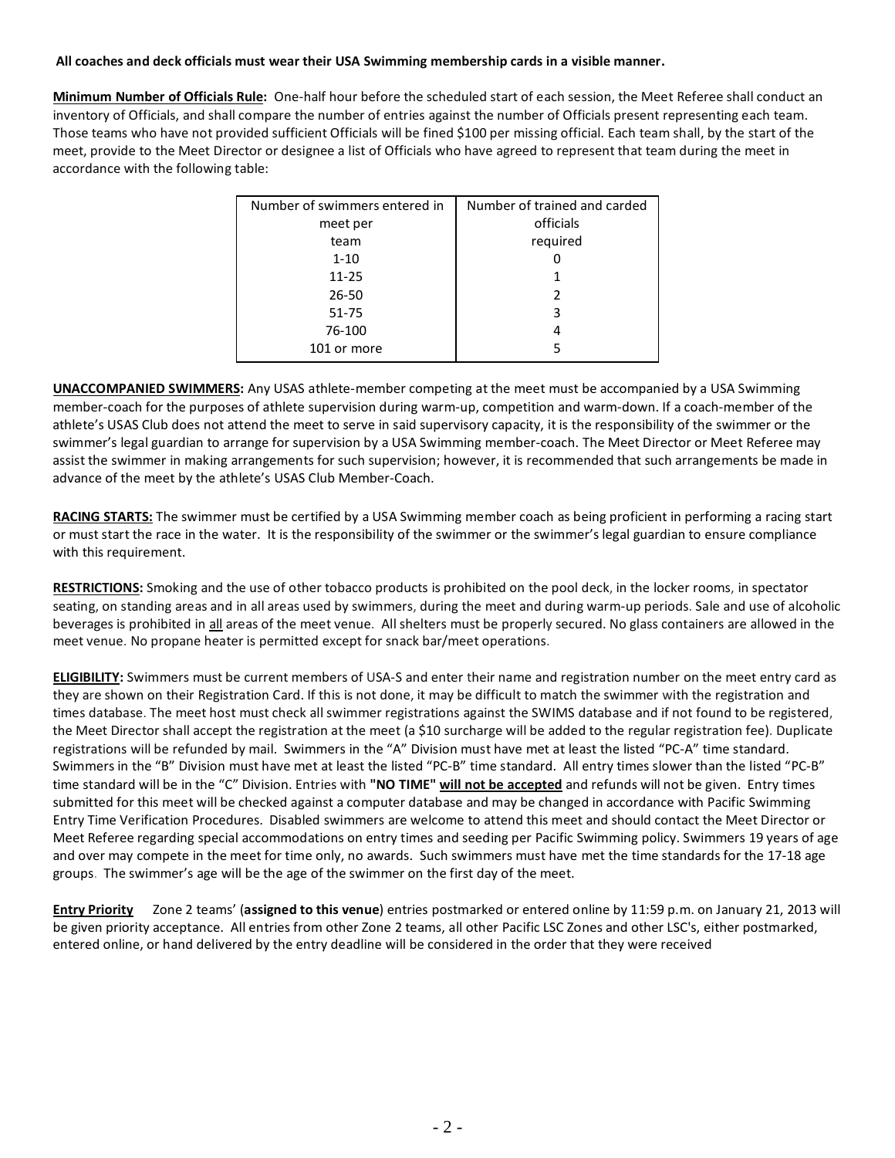### **All coaches and deck officials must wear their USA Swimming membership cards in a visible manner.**

**Minimum Number of Officials Rule:** One-half hour before the scheduled start of each session, the Meet Referee shall conduct an inventory of Officials, and shall compare the number of entries against the number of Officials present representing each team. Those teams who have not provided sufficient Officials will be fined \$100 per missing official. Each team shall, by the start of the meet, provide to the Meet Director or designee a list of Officials who have agreed to represent that team during the meet in accordance with the following table:

| Number of trained and carded |  |  |  |  |  |
|------------------------------|--|--|--|--|--|
| officials                    |  |  |  |  |  |
| required                     |  |  |  |  |  |
|                              |  |  |  |  |  |
|                              |  |  |  |  |  |
| $\mathfrak{p}$               |  |  |  |  |  |
| 3                            |  |  |  |  |  |
| 4                            |  |  |  |  |  |
| 5                            |  |  |  |  |  |
|                              |  |  |  |  |  |

**UNACCOMPANIED SWIMMERS:** Any USAS athlete-member competing at the meet must be accompanied by a USA Swimming member-coach for the purposes of athlete supervision during warm-up, competition and warm-down. If a coach-member of the athlete's USAS Club does not attend the meet to serve in said supervisory capacity, it is the responsibility of the swimmer or the swimmer's legal guardian to arrange for supervision by a USA Swimming member-coach. The Meet Director or Meet Referee may assist the swimmer in making arrangements for such supervision; however, it is recommended that such arrangements be made in advance of the meet by the athlete's USAS Club Member-Coach.

**RACING STARTS:** The swimmer must be certified by a USA Swimming member coach as being proficient in performing a racing start or must start the race in the water. It is the responsibility of the swimmer or the swimmer's legal guardian to ensure compliance with this requirement.

**RESTRICTIONS:** Smoking and the use of other tobacco products is prohibited on the pool deck, in the locker rooms, in spectator seating, on standing areas and in all areas used by swimmers, during the meet and during warm-up periods. Sale and use of alcoholic beverages is prohibited in all areas of the meet venue. All shelters must be properly secured. No glass containers are allowed in the meet venue. No propane heater is permitted except for snack bar/meet operations.

**ELIGIBILITY:** Swimmers must be current members of USA-S and enter their name and registration number on the meet entry card as they are shown on their Registration Card. If this is not done, it may be difficult to match the swimmer with the registration and times database. The meet host must check all swimmer registrations against the SWIMS database and if not found to be registered, the Meet Director shall accept the registration at the meet (a \$10 surcharge will be added to the regular registration fee). Duplicate registrations will be refunded by mail. Swimmers in the "A" Division must have met at least the listed "PC-A" time standard. Swimmers in the "B" Division must have met at least the listed "PC-B" time standard. All entry times slower than the listed "PC-B" time standard will be in the "C" Division. Entries with **"NO TIME" will not be accepted** and refunds will not be given. Entry times submitted for this meet will be checked against a computer database and may be changed in accordance with Pacific Swimming Entry Time Verification Procedures. Disabled swimmers are welcome to attend this meet and should contact the Meet Director or Meet Referee regarding special accommodations on entry times and seeding per Pacific Swimming policy. Swimmers 19 years of age and over may compete in the meet for time only, no awards. Such swimmers must have met the time standards for the 17-18 age groups. The swimmer's age will be the age of the swimmer on the first day of the meet.

**Entry Priority** Zone 2 teams' (**assigned to this venue**) entries postmarked or entered online by 11:59 p.m. on January 21, 2013 will be given priority acceptance. All entries from other Zone 2 teams, all other Pacific LSC Zones and other LSC's, either postmarked, entered online, or hand delivered by the entry deadline will be considered in the order that they were received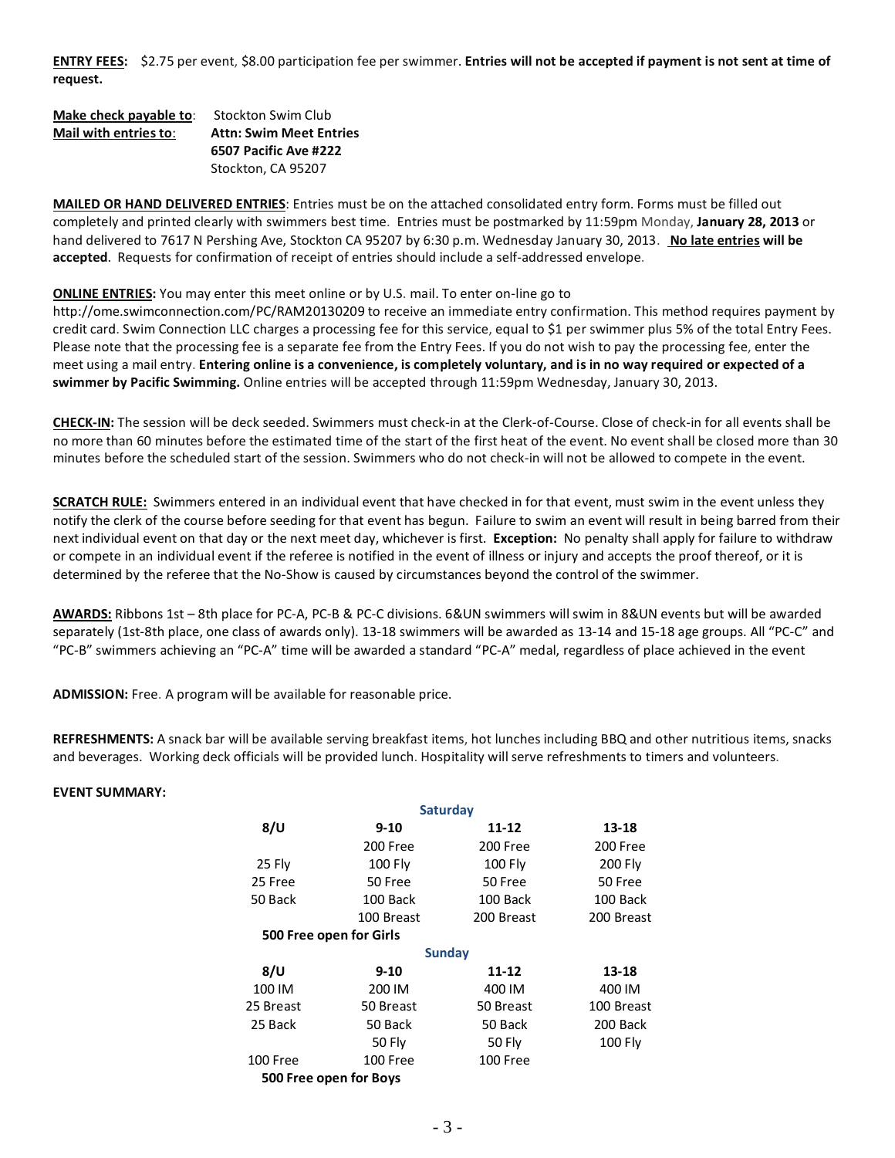**ENTRY FEES:** \$2.75 per event, \$8.00 participation fee per swimmer. **Entries will not be accepted if payment is not sent at time of request.**

| Make check payable to: | <b>Stockton Swim Club</b>      |
|------------------------|--------------------------------|
| Mail with entries to:  | <b>Attn: Swim Meet Entries</b> |
|                        | 6507 Pacific Ave #222          |
|                        | Stockton, CA 95207             |

**MAILED OR HAND DELIVERED ENTRIES**: Entries must be on the attached consolidated entry form. Forms must be filled out completely and printed clearly with swimmers best time. Entries must be postmarked by 11:59pm Monday, **January 28, 2013** or hand delivered to 7617 N Pershing Ave, Stockton CA 95207 by 6:30 p.m. Wednesday January 30, 2013. **No late entries will be accepted**. Requests for confirmation of receipt of entries should include a self-addressed envelope.

#### **ONLINE ENTRIES:** You may enter this meet online or by U.S. mail. To enter on-line go to

http://ome.swimconnection.com/PC/RAM20130209 to receive an immediate entry confirmation. This method requires payment by credit card. Swim Connection LLC charges a processing fee for this service, equal to \$1 per swimmer plus 5% of the total Entry Fees. Please note that the processing fee is a separate fee from the Entry Fees. If you do not wish to pay the processing fee, enter the meet using a mail entry. **Entering online is a convenience, is completely voluntary, and is in no way required or expected of a swimmer by Pacific Swimming.** Online entries will be accepted through 11:59pm Wednesday, January 30, 2013.

**CHECK-IN:** The session will be deck seeded. Swimmers must check-in at the Clerk-of-Course. Close of check-in for all events shall be no more than 60 minutes before the estimated time of the start of the first heat of the event. No event shall be closed more than 30 minutes before the scheduled start of the session. Swimmers who do not check-in will not be allowed to compete in the event.

**SCRATCH RULE:** Swimmers entered in an individual event that have checked in for that event, must swim in the event unless they notify the clerk of the course before seeding for that event has begun. Failure to swim an event will result in being barred from their next individual event on that day or the next meet day, whichever is first. **Exception:** No penalty shall apply for failure to withdraw or compete in an individual event if the referee is notified in the event of illness or injury and accepts the proof thereof, or it is determined by the referee that the No-Show is caused by circumstances beyond the control of the swimmer.

**AWARDS:** Ribbons 1st – 8th place for PC-A, PC-B & PC-C divisions. 6&UN swimmers will swim in 8&UN events but will be awarded separately (1st-8th place, one class of awards only). 13-18 swimmers will be awarded as 13-14 and 15-18 age groups. All "PC-C" and "PC-B" swimmers achieving an "PC-A" time will be awarded a standard "PC-A" medal, regardless of place achieved in the event

**ADMISSION:** Free. A program will be available for reasonable price.

**REFRESHMENTS:** A snack bar will be available serving breakfast items, hot lunches including BBQ and other nutritious items, snacks and beverages. Working deck officials will be provided lunch. Hospitality will serve refreshments to timers and volunteers.

#### **EVENT SUMMARY:**

|           |                         | <b>Saturday</b> |                |  |  |
|-----------|-------------------------|-----------------|----------------|--|--|
| 8/U       | 9-10                    | 11-12           | 13-18          |  |  |
|           | 200 Free                | 200 Free        | 200 Free       |  |  |
| 25 Fly    | <b>100 Fly</b>          | <b>100 Fly</b>  | <b>200 Fly</b> |  |  |
| 25 Free   | 50 Free                 | 50 Free         | 50 Free        |  |  |
| 50 Back   | 100 Back                | 100 Back        | 100 Back       |  |  |
|           | 100 Breast              | 200 Breast      | 200 Breast     |  |  |
|           | 500 Free open for Girls |                 |                |  |  |
|           |                         | <b>Sunday</b>   |                |  |  |
| 8/U       | $9 - 10$                | 11-12           | 13-18          |  |  |
| 100 IM    | 200 IM                  | 400 IM          | 400 IM         |  |  |
| 25 Breast | 50 Breast               | 50 Breast       | 100 Breast     |  |  |
| 25 Back   | 50 Back                 | 50 Back         | 200 Back       |  |  |
|           | <b>50 Fly</b>           | <b>50 Fly</b>   | <b>100 Fly</b> |  |  |
| 100 Free  | 100 Free                | 100 Free        |                |  |  |
|           | 500 Free open for Boys  |                 |                |  |  |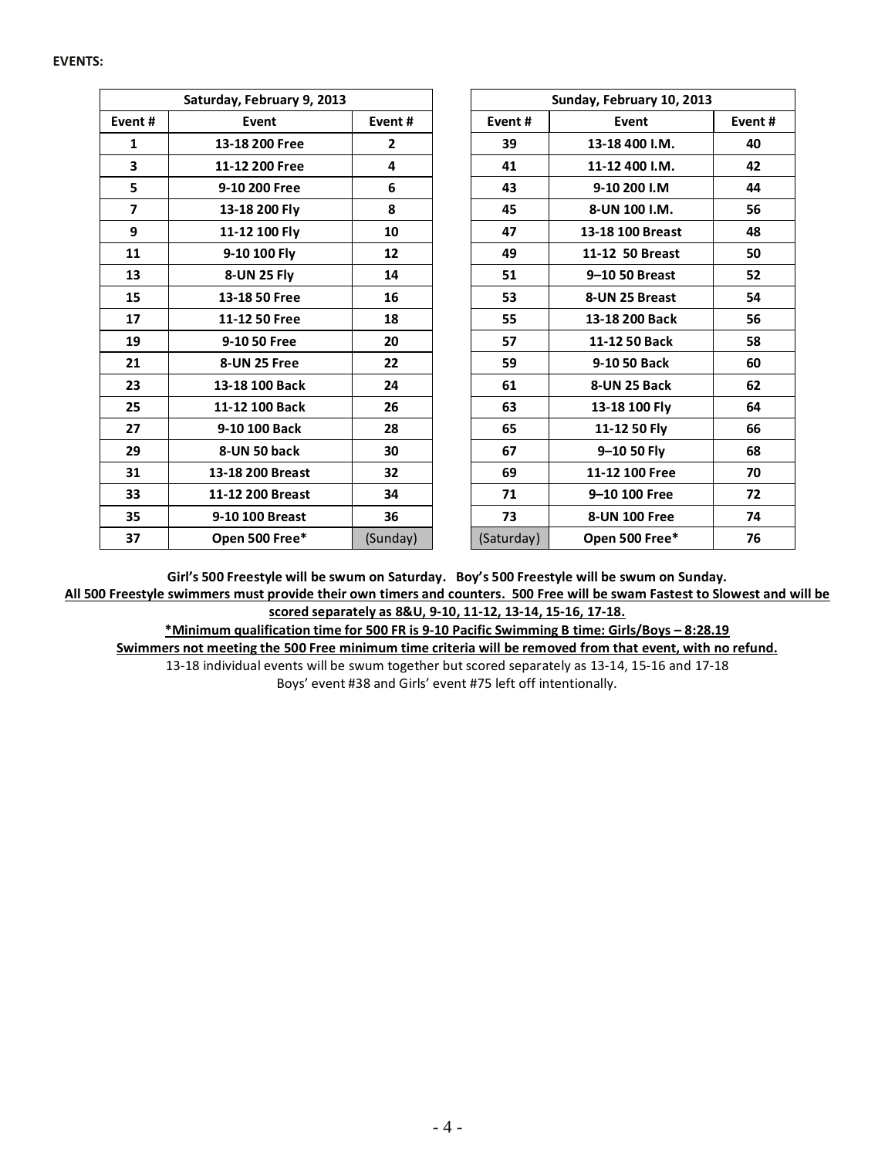#### **EVENTS:**

| Saturday, February 9, 2013 |                  |                | Sunday, February 10, 2013 |                  |        |  |  |
|----------------------------|------------------|----------------|---------------------------|------------------|--------|--|--|
| Event#                     | Event            | Event#         | Event#                    | Event            | Event# |  |  |
| 1                          | 13-18 200 Free   | $\overline{2}$ | 39                        | 13-18 400 I.M.   | 40     |  |  |
| $\overline{\mathbf{3}}$    | 11-12 200 Free   | 4              | 41                        | 11-12 400 I.M.   | 42     |  |  |
| 5                          | 9-10 200 Free    | 6              | 43                        | 9-10 200 I.M     | 44     |  |  |
| $\overline{7}$             | 13-18 200 Fly    | 8              | 45                        | 8-UN 100 I.M.    | 56     |  |  |
| 9                          | 11-12 100 Fly    | 10             | 47                        | 13-18 100 Breast | 48     |  |  |
| 11                         | 9-10 100 Fly     | 12             | 49                        | 11-12 50 Breast  | 50     |  |  |
| 13                         | 8-UN 25 Fly      | 14             | 51                        | 9-10 50 Breast   | 52     |  |  |
| 15                         | 13-18 50 Free    | 16             | 53                        | 8-UN 25 Breast   | 54     |  |  |
| 17                         | 11-12 50 Free    | 18             | 55                        | 13-18 200 Back   | 56     |  |  |
| 19                         | 9-10 50 Free     | 20             | 57                        | 11-12 50 Back    | 58     |  |  |
| 21                         | 8-UN 25 Free     | 22             | 59                        | 9-10 50 Back     | 60     |  |  |
| 23                         | 13-18 100 Back   | 24             | 61                        | 8-UN 25 Back     | 62     |  |  |
| 25                         | 11-12 100 Back   | 26             | 63                        | 13-18 100 Fly    | 64     |  |  |
| 27                         | 9-10 100 Back    | 28             | 65                        | 11-12 50 Fly     | 66     |  |  |
| 29                         | 8-UN 50 back     | 30             | 67                        | 9-10 50 Fly      | 68     |  |  |
| 31                         | 13-18 200 Breast | 32             | 69                        | 11-12 100 Free   | 70     |  |  |
| 33                         | 11-12 200 Breast | 34             | 71                        | 9-10 100 Free    | 72     |  |  |
| 35                         | 9-10 100 Breast  | 36             | 73                        | 8-UN 100 Free    | 74     |  |  |
| 37                         | Open 500 Free*   | (Sunday)       | (Saturday)                | Open 500 Free*   | 76     |  |  |

**Girl's 500 Freestyle will be swum on Saturday. Boy's 500 Freestyle will be swum on Sunday. All 500 Freestyle swimmers must provide their own timers and counters. 500 Free will be swam Fastest to Slowest and will be scored separately as 8&U, 9-10, 11-12, 13-14, 15-16, 17-18.**

**\*Minimum qualification time for 500 FR is 9-10 Pacific Swimming B time: Girls/Boys – 8:28.19 Swimmers not meeting the 500 Free minimum time criteria will be removed from that event, with no refund.** 13-18 individual events will be swum together but scored separately as 13-14, 15-16 and 17-18 Boys' event #38 and Girls' event #75 left off intentionally.